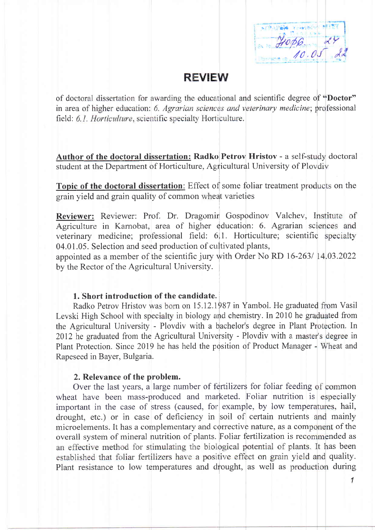2006 - 24

# **REVIEW**

of doctoral dissertation for awarding the educational and scientific degree of "Doctor" in area of higher education: 6. Agrarian sciences and veterinary medicine; professional field: 6.1. Horticulture, scientific specialty Horticulture.

Author of the doctoral dissertation: Radko Petrov Hristov - a self-study doctoral student at the Department of Horticulture, Agricultural University of Ploydiv

Topic of the doctoral dissertation: Effect of some foliar treatment products on the grain vield and grain quality of common wheat varieties

Reviewer: Reviewer: Prof. Dr. Dragomir Gospodinov Valchev, Institute of Agriculture in Karnobat, area of higher education: 6. Agrarian sciences and veterinary medicine; professional field: 6.1. Horticulture; scientific specialty 04.01.05. Selection and seed production of cultivated plants,

appointed as a member of the scientific jury with Order No RD 16-263/ 14.03.2022 by the Rector of the Agricultural University.

### 1. Short introduction of the candidate.

Radko Petrov Hristov was born on 15.12.1987 in Yambol. He graduated from Vasil Levski High School with specialty in biology and chemistry. In 2010 he graduated from the Agricultural University - Plovdiv with a bachelor's degree in Plant Protection. In 2012 he graduated from the Agricultural University - Plovdiv with a master's degree in Plant Protection. Since 2019 he has held the position of Product Manager - Wheat and Rapeseed in Bayer, Bulgaria.

#### 2. Relevance of the problem.

Over the last years, a large number of fertilizers for foliar feeding of common wheat have been mass-produced and marketed. Foliar nutrition is especially important in the case of stress (caused, for example, by low temperatures, hail, drought, etc.) or in case of deficiency in soil of certain nutrients and mainly microelements. It has a complementary and corrective nature, as a component of the overall system of mineral nutrition of plants. Foliar fertilization is recommended as an effective method for stimulating the biological potential of plants. It has been established that foliar fertilizers have a positive effect on grain yield and quality. Plant resistance to low temperatures and drought, as well as production during

 $\mathcal I$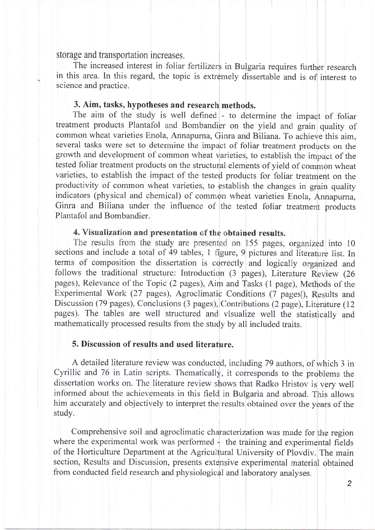storage and transportation increases.

The increased interest in foliar fertilizers in Bulgaria requires further research in this area. In this regard, the topic is extremely dissertable and is of interest to science and practice.

#### 3. Aim, tasks, hypotheses and research methods.

The aim of the study is well defined - to determine the impact of foliar treatment products Plantafol and Bombandier on the yield and grain quality of common wheat varieties Enola, Annapurna, Ginra and Biliana. To achieve this aim, several tasks were set to determine the impact of foliar treatment products on the growth and development of common wheat varieties, to establish the impact of the tested foliar treatment products on the structural elements of yield of common wheat varieties, to establish the impact of the tested products for foliar treatment on the productivity of common wheat varieties, to establish the changes in grain quality indicators (physical and chemical) of common wheat varieties Enola, Annapurna, Ginra and Biliana under the influence of the tested foliar treatment products Plantafol and Bombandier.

### 4. Visualization and presentation of the obtained results.

The results from the study are presented on 155 pages, organized into 10 sections and include a total of 49 tables, 1 figure, 9 pictures and literature list. In terms of composition the dissertation is correctly and logically organized and follows the traditional structure: Introduction (3 pages), Literature Review (26 pages), Relevance of the Topic (2 pages), Aim and Tasks (1 page), Methods of the Experimental Work (27 pages), Agroclimatic Conditions (7 pages), Results and Discussion (79 pages), Conclusions (3 pages), Contributions (2 page), Literature (12 pages). The tables are well structured and visualize well the statistically and mathematically processed results from the study by all included traits.

### 5. Discussion of results and used literature.

A detailed literature review was conducted, including 79 authors, of which 3 in Cyrillic and 76 in Latin scripts. Thematically, it corresponds to the problems the dissertation works on. The literature review shows that Radko Hristov is very well informed about the achievements in this field in Bulgaria and abroad. This allows him accurately and objectively to interpret the results obtained over the years of the study.

Comprehensive soil and agroclimatic characterization was made for the region where the experimental work was performed  $\frac{1}{2}$  the training and experimental fields of the Horticulture Department at the Agricultural University of Plovdiv. The main section, Results and Discussion, presents extensive experimental material obtained from conducted field research and physiological and laboratory analyses.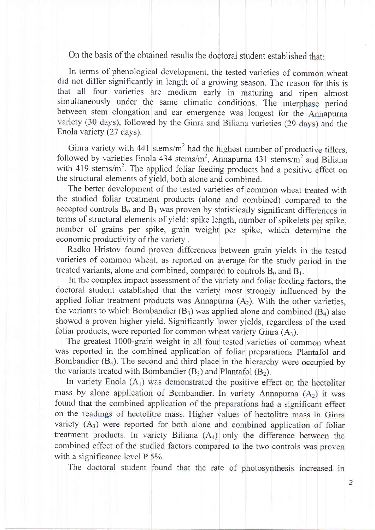On the basis of the obtained results the doctoral student established that:

In terms of phenological development, the tested varieties of common wheat did not differ significantly in length of a growing season. The reason for this is that all four varieties are medium early in maturing and ripen almost simultaneously under the same climatic conditions. The interphase period between stem elongation and ear emergence was longest for the Annapurna variety (30 days), followed by the Ginra and Biliana varieties (29 days) and the Enola variety (27 days).

followed by varieties Enola 434 stems/m<sup>2</sup>, Annapurna 431 stems/m<sup>2</sup> and Biliana with 419 stems/ $m^2$ . The applied foliar feeding products had a positive effect on Ginra variety with  $441$  stems/m<sup>2</sup> had the highest number of productive tillers, the structural elements of yield, both alone and combined.

accepted controls  $B_0$  and  $B_1$  was proven by statistically significant differences in number of grains per spike, grain weight per spike, which determine the The better development of the tested varieties of common wheat treated with the studied foliar treatment products (alone and combined) compared to the terms of structural elements of yield: spike length, number of spikelets per spike, economic productivity of the variety.

Radko Hristov found proven differences between grain yields in the tested varieties of common wheat, as reported on average for the study period in the treated variants, alone and combined, compared to controls  $B_0$  and  $B_1$ .

doctoral student established that the variety most strongly influenced by the applied foliar treatment products was Annapurna  $(A_2)$ . With the other varieties, the variants to which Bombandier  $(B_3)$  was applied alone and combined  $(B_4)$  also showed a proven higher yield. Significantly lower yields, regardless of the used In the complex impact assessment of the variety and foliar feeding factors, the foliar products, were reported for common wheat variety Ginra  $(A_3)$ .

The greatest 1000-grain weight in all four tested varieties of common wheat was reported in the combined application of foliar preparations Plantafol and Bombandier  $(B_4)$ . The second and third place in the hierarchy were occupied by the variants treated with Bombandier  $(B_3)$  and Plantafol  $(B_2)$ .

In variety Enola  $(A<sub>1</sub>)$  was demonstrated the positive effect on the hectoliter mass by alone application of Bombandier. In variety Annapurna  $(A_2)$  it was found that the combined application of the preparations had a significant effect on the readings of hectolitre mass. Higher values of hectolitre mass in Ginra variety  $(A_3)$  were reported for both alone and combined application of foliar treatment products. In variety Biliana  $(A_4)$  only the difference between the combined effect of the studied factors compared to the two controls was proven with a significance level P 5%.

The doctoral student found that the rate of photosynthesis increased in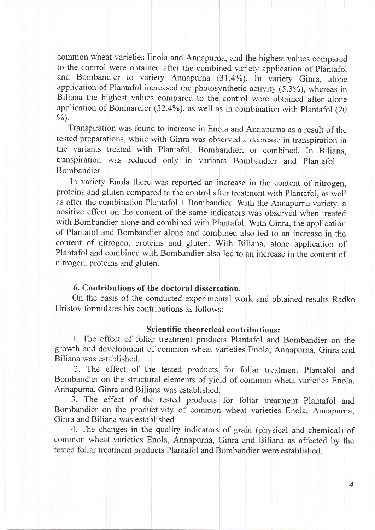common wheat varieties Enola and Annapurna, and the highest values compared to the control were obtained after the combined variety application of Plantafol and Bombandier to variety Annapurna (31.4%). In variety Ginra, alone application of Plantafol increased the photosynthetic activity (5.3%), whereas in Biliana the highest values compared to the control were obtained after alone application of Bomnardier (32.4%), as well as in combination with Plantafol (20  $\frac{0}{0}$ .

Transpiration was found to increase in Enola and Annapurna as a result of the tested preparations, while with Ginra was observed a decrease in transpiration in the variants treated with Plantafol, Bombandier, or combined. In Biliana, transpiration was reduced only in variants Bombandier and Plantafol + Bombandier

In variety Enola there was reported an increase in the content of nitrogen, proteins and gluten compared to the control after treatment with Plantafol, as well as after the combination Plantafol  $+$  Bombandier. With the Annapurna variety, a positive effect on the content of the same indicators was observed when treated with Bombandier alone and combined with Plantafol. With Ginra, the application of Plantafol and Bombandier alone and combined also led to an increase in the content of nitrogen, proteins and gluten. With Biliana, alone application of Plantafol and combined with Bombandier also led to an increase in the content of nitrogen, proteins and gluten.

# 6i. Contributions of the doctoral dissertation.

On the basis of the conducted experimental work and obtained results Radko Hristov formulates his contributions as follows:

#### Scientific-theoretical contributions:

1. The effect of foliar treatment products Plantafol and Bombandier on the growth iand development of common wheat varieties Enola, Annapurna, Ginra and Biliana was established.

2. The effect of the tested products for foliar treatment Plantafol and Bombandier on the structural elements of yield of common wheat varieties Enola, Annapurna, Ginra and Biliana was established.

3. The effect of the tested products for foliar treatment Plantafol and Bombandier on the productivity of common wheat varieties Enola, Annapurna, Ginra and Biliana was established

4. The changes in the quality indicators of grain (physical and chemical) of common wheat varieties Enola, Annapurna, Ginra and Biliana as affected by the tested foliar treatment products Plantafol and Bombandier were established.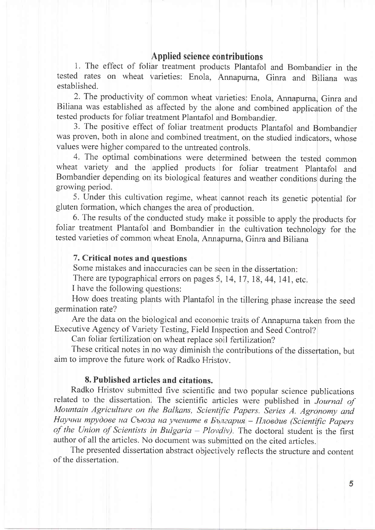## Applied science contributions

1. The effect of foliar treatment products Plantafol and Bombandier in the tested rates on wheat varieties: Enola, Annapurna, Ginra and Biliana was established.

2. The productivity of common wheat varieties: Enola, Annapurna, Ginra and Biliana was established as affected by the alone and combined application of the tested products for foliar treatment Plantafol and Bombandier.

3. The positive effect of foliar treatment products Plantafol and Bombandier was proven, both in alone and combined treatment, on the studied indicators, whose values were higher compared to the untreated controls.

4. The optimal combinations were determined between the tested common wheat variety and the applied products for foliar treatment Plantafol and Bombandier depending on its biological features and weather conditions during the growing period.

5. Under this cultivation regime, wheat cannot reach its genetic potential for gluten formation, which changes the area of production.

6. The results of the conducted study make it possible to apply the products for foliar treatment Plantafol and Bombandier in the cultivation technology for the tested varieties of common wheat Enola, Annapurna, Ginra and Biliana

### 7. Critical notes and questions

Some mistakes and inaccuracies can be seen in the dissertation:

There are typographical errors on pages 5, 14, 17, 18, 44, 141, etc.

I have the following questions:

How does treating plants with Plantafol in the tillering phase increase the seed germination rate?

Are the data on the biological and economic traits of Annapurna taken from the Executive Agency of Variety Testing, Field Inspection and Seed Control?

Can foliar fertilization on wheat replace soil fertilization?

These critical notes in no way diminish the contributions of the dissertation, but aim to improve the future work of Radko Hristov.

### 8. Published articles and citations.

Radko Hristov submitted five scientific and two popular science publications related to the dissertation. The scientific articles were published in Journal of Mountain Agriculture on the Balkans, Scientific Papers. Series A. Agronomy and Научни трудове на Съюза на учените в България - Пловдив (Scientific Papers of the Union of Scientists in Bulgaria - Plovdiv). The doctoral student is the first author of all the articles. No document was submitted on the cited articles.

The presented dissertation abstract objectively reflects the structure and content of the dissertation.